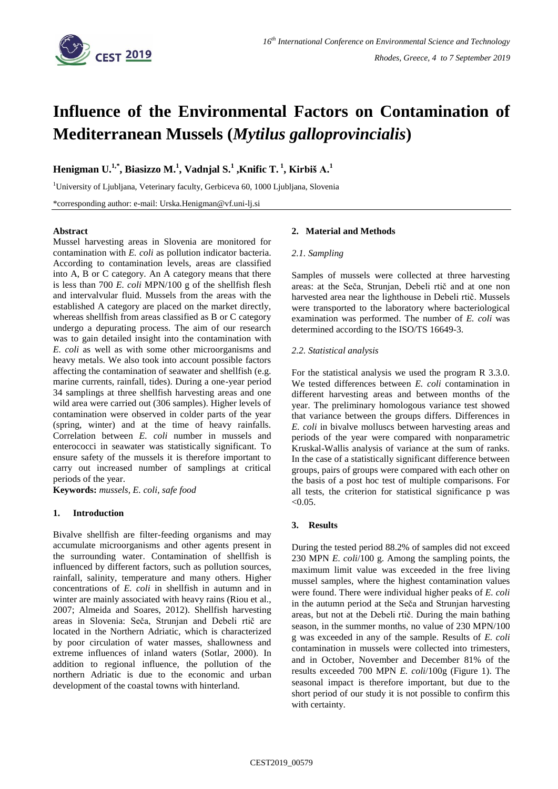

# **Influence of the Environmental Factors on Contamination of Mediterranean Mussels (***Mytilus galloprovincialis***)**

**Henigman U. 1,\* , Biasizzo M. 1 , Vadnjal S.<sup>1</sup> ,Knific T. <sup>1</sup> , Kirbiš A. 1**

<sup>1</sup>University of Ljubljana, Veterinary faculty, Gerbiceva 60, 1000 Ljubljana, Slovenia

\*corresponding author: e-mail: Urska.Henigman@vf.uni-lj.si

## **Abstract**

Mussel harvesting areas in Slovenia are monitored for contamination with *E. coli* as pollution indicator bacteria. According to contamination levels, areas are classified into A, B or C category. An A category means that there is less than 700 *E. coli* MPN/100 g of the shellfish flesh and intervalvular fluid. Mussels from the areas with the established A category are placed on the market directly, whereas shellfish from areas classified as B or C category undergo a depurating process. The aim of our research was to gain detailed insight into the contamination with *E. coli* as well as with some other microorganisms and heavy metals. We also took into account possible factors affecting the contamination of seawater and shellfish (e.g. marine currents, rainfall, tides). During a one-year period 34 samplings at three shellfish harvesting areas and one wild area were carried out (306 samples). Higher levels of contamination were observed in colder parts of the year (spring, winter) and at the time of heavy rainfalls. Correlation between *E. coli* number in mussels and enterococci in seawater was statistically significant. To ensure safety of the mussels it is therefore important to carry out increased number of samplings at critical periods of the year.

**Keywords:** *mussels, E. coli, safe food*

## **1. Introduction**

Bivalve shellfish are filter-feeding organisms and may accumulate microorganisms and other agents present in the surrounding water. Contamination of shellfish is influenced by different factors, such as pollution sources, rainfall, salinity, temperature and many others. Higher concentrations of *E. coli* in shellfish in autumn and in winter are mainly associated with heavy rains (Riou et al., 2007; Almeida and Soares, 2012). Shellfish harvesting areas in Slovenia: Seča, Strunjan and Debeli rtič are located in the Northern Adriatic, which is characterized by poor circulation of water masses, shallowness and extreme influences of inland waters (Sotlar, 2000). In addition to regional influence, the pollution of the northern Adriatic is due to the economic and urban development of the coastal towns with hinterland.

## **2. Material and Methods**

#### *2.1. Sampling*

Samples of mussels were collected at three harvesting areas: at the Seča, Strunjan, Debeli rtič and at one non harvested area near the lighthouse in Debeli rtič. Mussels were transported to the laboratory where bacteriological examination was performed. The number of *E. coli* was determined according to the ISO/TS 16649-3.

### *2.2. Statistical analysis*

For the statistical analysis we used the program R 3.3.0. We tested differences between *E. coli* contamination in different harvesting areas and between months of the year. The preliminary homologous variance test showed that variance between the groups differs. Differences in *E. coli* in bivalve molluscs between harvesting areas and periods of the year were compared with nonparametric Kruskal-Wallis analysis of variance at the sum of ranks. In the case of a statistically significant difference between groups, pairs of groups were compared with each other on the basis of a post hoc test of multiple comparisons. For all tests, the criterion for statistical significance p was  $< 0.05$ .

### **3. Results**

During the tested period 88.2% of samples did not exceed 230 MPN *E. coli*/100 g. Among the sampling points, the maximum limit value was exceeded in the free living mussel samples, where the highest contamination values were found. There were individual higher peaks of *E. coli* in the autumn period at the Seča and Strunjan harvesting areas, but not at the Debeli rtič. During the main bathing season, in the summer months, no value of 230 MPN/100 g was exceeded in any of the sample. Results of *E. coli* contamination in mussels were collected into trimesters, and in October, November and December 81% of the results exceeded 700 MPN *E. coli*/100g (Figure 1). The seasonal impact is therefore important, but due to the short period of our study it is not possible to confirm this with certainty.